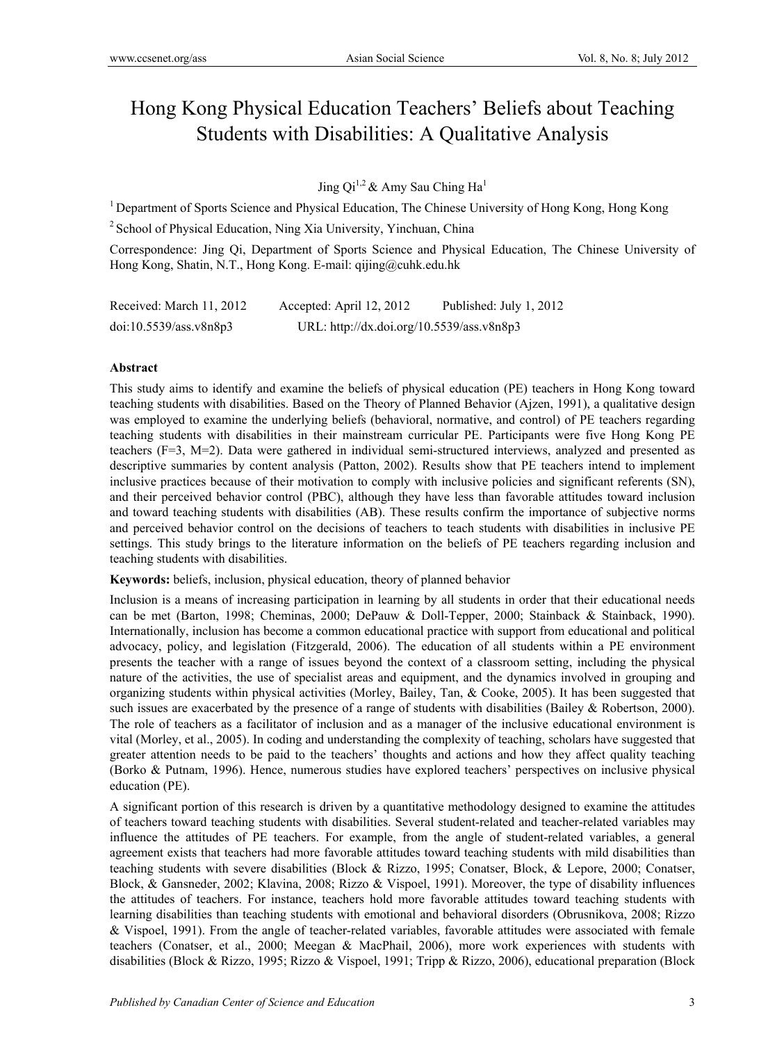# Hong Kong Physical Education Teachers' Beliefs about Teaching Students with Disabilities: A Qualitative Analysis

Jing  $\mathrm{Qi}^{1,2}$  & Amy Sau Ching Ha<sup>1</sup>

<sup>1</sup> Department of Sports Science and Physical Education, The Chinese University of Hong Kong, Hong Kong

<sup>2</sup> School of Physical Education, Ning Xia University, Yinchuan, China

Correspondence: Jing Qi, Department of Sports Science and Physical Education, The Chinese University of Hong Kong, Shatin, N.T., Hong Kong. E-mail: qijing@cuhk.edu.hk

| Received: March 11, 2012 | Accepted: April 12, 2012                  | Published: July 1, 2012 |
|--------------------------|-------------------------------------------|-------------------------|
| doi:10.5539/ass.v8n8p3   | URL: http://dx.doi.org/10.5539/ass.v8n8p3 |                         |

# **Abstract**

This study aims to identify and examine the beliefs of physical education (PE) teachers in Hong Kong toward teaching students with disabilities. Based on the Theory of Planned Behavior (Ajzen, 1991), a qualitative design was employed to examine the underlying beliefs (behavioral, normative, and control) of PE teachers regarding teaching students with disabilities in their mainstream curricular PE. Participants were five Hong Kong PE teachers (F=3, M=2). Data were gathered in individual semi-structured interviews, analyzed and presented as descriptive summaries by content analysis (Patton, 2002). Results show that PE teachers intend to implement inclusive practices because of their motivation to comply with inclusive policies and significant referents (SN), and their perceived behavior control (PBC), although they have less than favorable attitudes toward inclusion and toward teaching students with disabilities (AB). These results confirm the importance of subjective norms and perceived behavior control on the decisions of teachers to teach students with disabilities in inclusive PE settings. This study brings to the literature information on the beliefs of PE teachers regarding inclusion and teaching students with disabilities.

**Keywords:** beliefs, inclusion, physical education, theory of planned behavior

Inclusion is a means of increasing participation in learning by all students in order that their educational needs can be met (Barton, 1998; Cheminas, 2000; DePauw & Doll-Tepper, 2000; Stainback & Stainback, 1990). Internationally, inclusion has become a common educational practice with support from educational and political advocacy, policy, and legislation (Fitzgerald, 2006). The education of all students within a PE environment presents the teacher with a range of issues beyond the context of a classroom setting, including the physical nature of the activities, the use of specialist areas and equipment, and the dynamics involved in grouping and organizing students within physical activities (Morley, Bailey, Tan, & Cooke, 2005). It has been suggested that such issues are exacerbated by the presence of a range of students with disabilities (Bailey & Robertson, 2000). The role of teachers as a facilitator of inclusion and as a manager of the inclusive educational environment is vital (Morley, et al., 2005). In coding and understanding the complexity of teaching, scholars have suggested that greater attention needs to be paid to the teachers' thoughts and actions and how they affect quality teaching (Borko & Putnam, 1996). Hence, numerous studies have explored teachers' perspectives on inclusive physical education (PE).

A significant portion of this research is driven by a quantitative methodology designed to examine the attitudes of teachers toward teaching students with disabilities. Several student-related and teacher-related variables may influence the attitudes of PE teachers. For example, from the angle of student-related variables, a general agreement exists that teachers had more favorable attitudes toward teaching students with mild disabilities than teaching students with severe disabilities (Block & Rizzo, 1995; Conatser, Block, & Lepore, 2000; Conatser, Block, & Gansneder, 2002; Klavina, 2008; Rizzo & Vispoel, 1991). Moreover, the type of disability influences the attitudes of teachers. For instance, teachers hold more favorable attitudes toward teaching students with learning disabilities than teaching students with emotional and behavioral disorders (Obrusnikova, 2008; Rizzo & Vispoel, 1991). From the angle of teacher-related variables, favorable attitudes were associated with female teachers (Conatser, et al., 2000; Meegan & MacPhail, 2006), more work experiences with students with disabilities (Block & Rizzo, 1995; Rizzo & Vispoel, 1991; Tripp & Rizzo, 2006), educational preparation (Block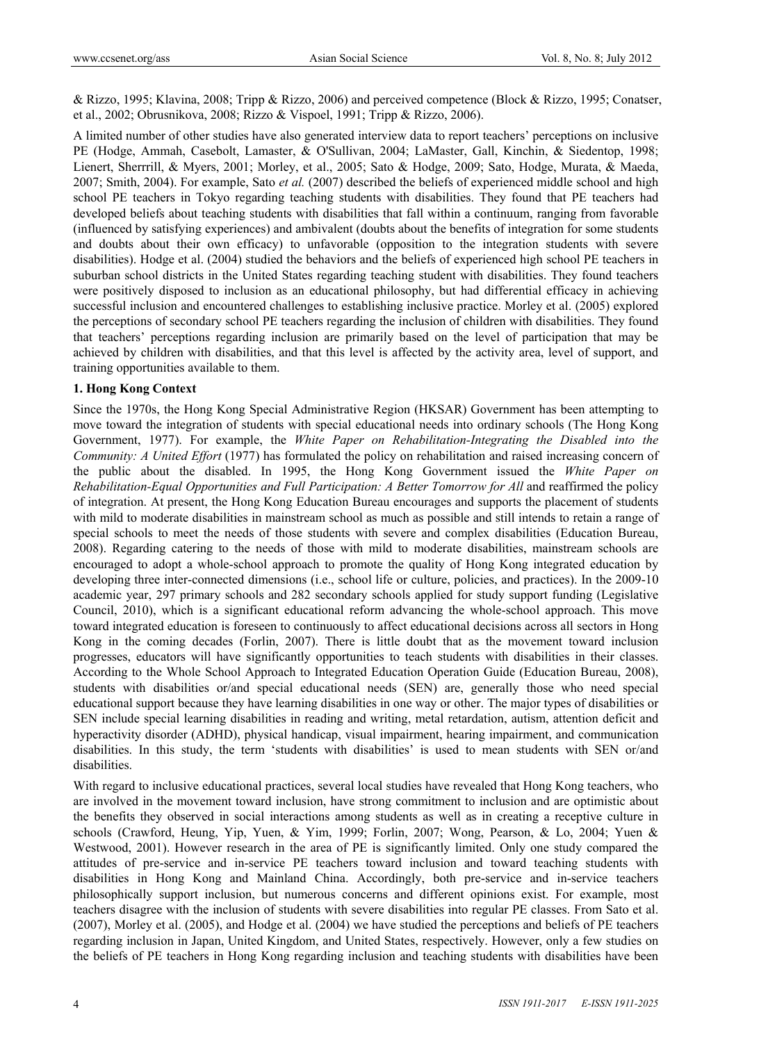& Rizzo, 1995; Klavina, 2008; Tripp & Rizzo, 2006) and perceived competence (Block & Rizzo, 1995; Conatser, et al., 2002; Obrusnikova, 2008; Rizzo & Vispoel, 1991; Tripp & Rizzo, 2006).

A limited number of other studies have also generated interview data to report teachers' perceptions on inclusive PE (Hodge, Ammah, Casebolt, Lamaster, & O'Sullivan, 2004; LaMaster, Gall, Kinchin, & Siedentop, 1998; Lienert, Sherrrill, & Myers, 2001; Morley, et al., 2005; Sato & Hodge, 2009; Sato, Hodge, Murata, & Maeda, 2007; Smith, 2004). For example, Sato *et al.* (2007) described the beliefs of experienced middle school and high school PE teachers in Tokyo regarding teaching students with disabilities. They found that PE teachers had developed beliefs about teaching students with disabilities that fall within a continuum, ranging from favorable (influenced by satisfying experiences) and ambivalent (doubts about the benefits of integration for some students and doubts about their own efficacy) to unfavorable (opposition to the integration students with severe disabilities). Hodge et al. (2004) studied the behaviors and the beliefs of experienced high school PE teachers in suburban school districts in the United States regarding teaching student with disabilities. They found teachers were positively disposed to inclusion as an educational philosophy, but had differential efficacy in achieving successful inclusion and encountered challenges to establishing inclusive practice. Morley et al. (2005) explored the perceptions of secondary school PE teachers regarding the inclusion of children with disabilities. They found that teachers' perceptions regarding inclusion are primarily based on the level of participation that may be achieved by children with disabilities, and that this level is affected by the activity area, level of support, and training opportunities available to them.

### **1. Hong Kong Context**

Since the 1970s, the Hong Kong Special Administrative Region (HKSAR) Government has been attempting to move toward the integration of students with special educational needs into ordinary schools (The Hong Kong Government, 1977). For example, the *White Paper on Rehabilitation-Integrating the Disabled into the Community: A United Effort* (1977) has formulated the policy on rehabilitation and raised increasing concern of the public about the disabled. In 1995, the Hong Kong Government issued the *White Paper on Rehabilitation-Equal Opportunities and Full Participation: A Better Tomorrow for All* and reaffirmed the policy of integration. At present, the Hong Kong Education Bureau encourages and supports the placement of students with mild to moderate disabilities in mainstream school as much as possible and still intends to retain a range of special schools to meet the needs of those students with severe and complex disabilities (Education Bureau, 2008). Regarding catering to the needs of those with mild to moderate disabilities, mainstream schools are encouraged to adopt a whole-school approach to promote the quality of Hong Kong integrated education by developing three inter-connected dimensions (i.e., school life or culture, policies, and practices). In the 2009-10 academic year, 297 primary schools and 282 secondary schools applied for study support funding (Legislative Council, 2010), which is a significant educational reform advancing the whole-school approach. This move toward integrated education is foreseen to continuously to affect educational decisions across all sectors in Hong Kong in the coming decades (Forlin, 2007). There is little doubt that as the movement toward inclusion progresses, educators will have significantly opportunities to teach students with disabilities in their classes. According to the Whole School Approach to Integrated Education Operation Guide (Education Bureau, 2008), students with disabilities or/and special educational needs (SEN) are, generally those who need special educational support because they have learning disabilities in one way or other. The major types of disabilities or SEN include special learning disabilities in reading and writing, metal retardation, autism, attention deficit and hyperactivity disorder (ADHD), physical handicap, visual impairment, hearing impairment, and communication disabilities. In this study, the term 'students with disabilities' is used to mean students with SEN or/and disabilities.

With regard to inclusive educational practices, several local studies have revealed that Hong Kong teachers, who are involved in the movement toward inclusion, have strong commitment to inclusion and are optimistic about the benefits they observed in social interactions among students as well as in creating a receptive culture in schools (Crawford, Heung, Yip, Yuen, & Yim, 1999; Forlin, 2007; Wong, Pearson, & Lo, 2004; Yuen & Westwood, 2001). However research in the area of PE is significantly limited. Only one study compared the attitudes of pre-service and in-service PE teachers toward inclusion and toward teaching students with disabilities in Hong Kong and Mainland China. Accordingly, both pre-service and in-service teachers philosophically support inclusion, but numerous concerns and different opinions exist. For example, most teachers disagree with the inclusion of students with severe disabilities into regular PE classes. From Sato et al. (2007), Morley et al. (2005), and Hodge et al. (2004) we have studied the perceptions and beliefs of PE teachers regarding inclusion in Japan, United Kingdom, and United States, respectively. However, only a few studies on the beliefs of PE teachers in Hong Kong regarding inclusion and teaching students with disabilities have been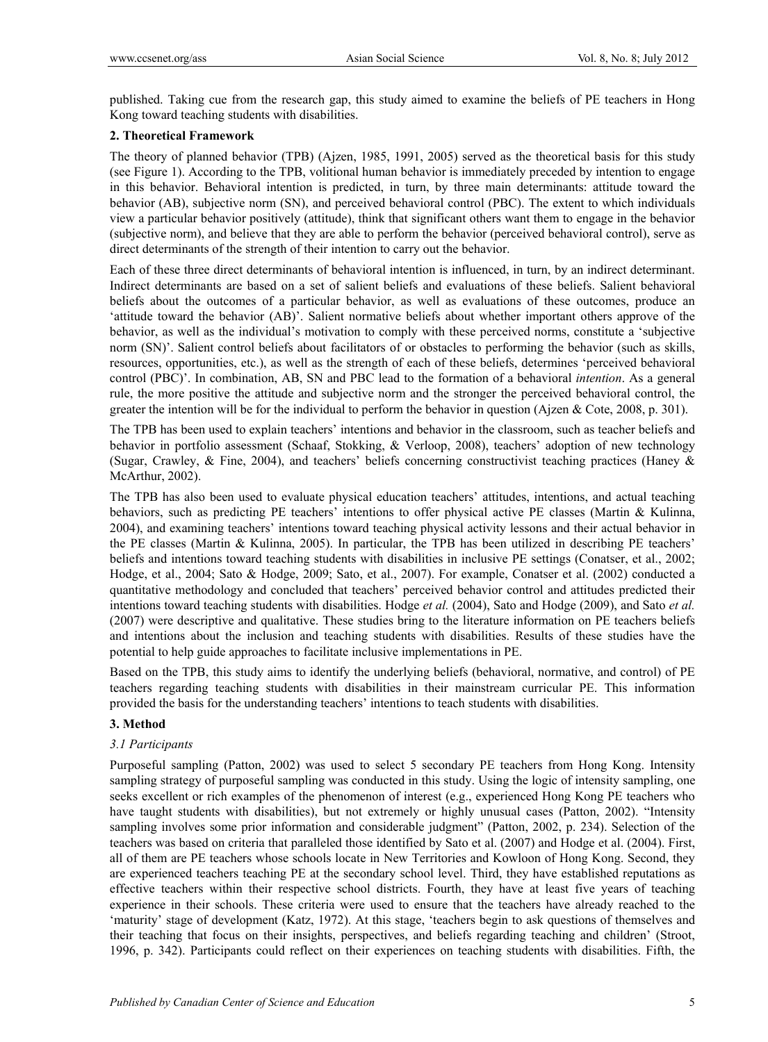published. Taking cue from the research gap, this study aimed to examine the beliefs of PE teachers in Hong Kong toward teaching students with disabilities.

### **2. Theoretical Framework**

The theory of planned behavior (TPB) (Ajzen, 1985, 1991, 2005) served as the theoretical basis for this study (see Figure 1). According to the TPB, volitional human behavior is immediately preceded by intention to engage in this behavior. Behavioral intention is predicted, in turn, by three main determinants: attitude toward the behavior (AB), subjective norm (SN), and perceived behavioral control (PBC). The extent to which individuals view a particular behavior positively (attitude), think that significant others want them to engage in the behavior (subjective norm), and believe that they are able to perform the behavior (perceived behavioral control), serve as direct determinants of the strength of their intention to carry out the behavior.

Each of these three direct determinants of behavioral intention is influenced, in turn, by an indirect determinant. Indirect determinants are based on a set of salient beliefs and evaluations of these beliefs. Salient behavioral beliefs about the outcomes of a particular behavior, as well as evaluations of these outcomes, produce an 'attitude toward the behavior (AB)'. Salient normative beliefs about whether important others approve of the behavior, as well as the individual's motivation to comply with these perceived norms, constitute a 'subjective norm (SN)'. Salient control beliefs about facilitators of or obstacles to performing the behavior (such as skills, resources, opportunities, etc.), as well as the strength of each of these beliefs, determines 'perceived behavioral control (PBC)'. In combination, AB, SN and PBC lead to the formation of a behavioral *intention*. As a general rule, the more positive the attitude and subjective norm and the stronger the perceived behavioral control, the greater the intention will be for the individual to perform the behavior in question (Ajzen & Cote, 2008, p. 301).

The TPB has been used to explain teachers' intentions and behavior in the classroom, such as teacher beliefs and behavior in portfolio assessment (Schaaf, Stokking, & Verloop, 2008), teachers' adoption of new technology (Sugar, Crawley, & Fine, 2004), and teachers' beliefs concerning constructivist teaching practices (Haney & McArthur, 2002).

The TPB has also been used to evaluate physical education teachers' attitudes, intentions, and actual teaching behaviors, such as predicting PE teachers' intentions to offer physical active PE classes (Martin & Kulinna, 2004), and examining teachers' intentions toward teaching physical activity lessons and their actual behavior in the PE classes (Martin & Kulinna, 2005). In particular, the TPB has been utilized in describing PE teachers' beliefs and intentions toward teaching students with disabilities in inclusive PE settings (Conatser, et al., 2002; Hodge, et al., 2004; Sato & Hodge, 2009; Sato, et al., 2007). For example, Conatser et al. (2002) conducted a quantitative methodology and concluded that teachers' perceived behavior control and attitudes predicted their intentions toward teaching students with disabilities. Hodge *et al.* (2004), Sato and Hodge (2009), and Sato *et al.* (2007) were descriptive and qualitative. These studies bring to the literature information on PE teachers beliefs and intentions about the inclusion and teaching students with disabilities. Results of these studies have the potential to help guide approaches to facilitate inclusive implementations in PE.

Based on the TPB, this study aims to identify the underlying beliefs (behavioral, normative, and control) of PE teachers regarding teaching students with disabilities in their mainstream curricular PE. This information provided the basis for the understanding teachers' intentions to teach students with disabilities.

# **3. Method**

### *3.1 Participants*

Purposeful sampling (Patton, 2002) was used to select 5 secondary PE teachers from Hong Kong. Intensity sampling strategy of purposeful sampling was conducted in this study. Using the logic of intensity sampling, one seeks excellent or rich examples of the phenomenon of interest (e.g., experienced Hong Kong PE teachers who have taught students with disabilities), but not extremely or highly unusual cases (Patton, 2002). "Intensity sampling involves some prior information and considerable judgment" (Patton, 2002, p. 234). Selection of the teachers was based on criteria that paralleled those identified by Sato et al. (2007) and Hodge et al. (2004). First, all of them are PE teachers whose schools locate in New Territories and Kowloon of Hong Kong. Second, they are experienced teachers teaching PE at the secondary school level. Third, they have established reputations as effective teachers within their respective school districts. Fourth, they have at least five years of teaching experience in their schools. These criteria were used to ensure that the teachers have already reached to the 'maturity' stage of development (Katz, 1972). At this stage, 'teachers begin to ask questions of themselves and their teaching that focus on their insights, perspectives, and beliefs regarding teaching and children' (Stroot, 1996, p. 342). Participants could reflect on their experiences on teaching students with disabilities. Fifth, the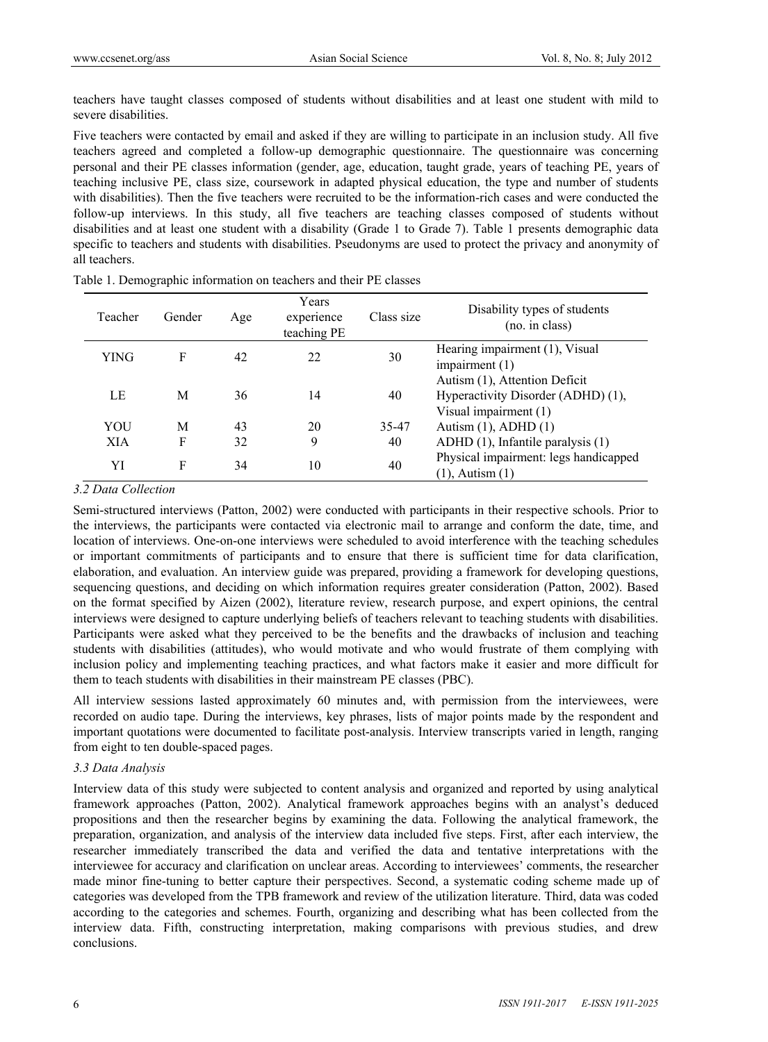teachers have taught classes composed of students without disabilities and at least one student with mild to severe disabilities.

Five teachers were contacted by email and asked if they are willing to participate in an inclusion study. All five teachers agreed and completed a follow-up demographic questionnaire. The questionnaire was concerning personal and their PE classes information (gender, age, education, taught grade, years of teaching PE, years of teaching inclusive PE, class size, coursework in adapted physical education, the type and number of students with disabilities). Then the five teachers were recruited to be the information-rich cases and were conducted the follow-up interviews. In this study, all five teachers are teaching classes composed of students without disabilities and at least one student with a disability (Grade 1 to Grade 7). Table 1 presents demographic data specific to teachers and students with disabilities. Pseudonyms are used to protect the privacy and anonymity of all teachers.

| Teacher    | Gender | Age | Years<br>experience<br>teaching PE | Class size | Disability types of students<br>(no. in class)                                                 |
|------------|--------|-----|------------------------------------|------------|------------------------------------------------------------------------------------------------|
| YING       | F      | 42  | 22                                 | 30         | Hearing impairment (1), Visual<br>impairment $(1)$                                             |
| LE         | M      | 36  | 14                                 | 40         | Autism (1), Attention Deficit<br>Hyperactivity Disorder (ADHD) (1),<br>Visual impairment $(1)$ |
| YOU        | М      | 43  | 20                                 | 35-47      | Autism $(1)$ , ADHD $(1)$                                                                      |
| <b>XIA</b> | F      | 32  | 9                                  | 40         | ADHD (1), Infantile paralysis (1)                                                              |
| YI         | F      | 34  | 10                                 | 40         | Physical impairment: legs handicapped<br>$(1)$ , Autism $(1)$                                  |

Table 1. Demographic information on teachers and their PE classes

*3.2 Data Collection* 

Semi-structured interviews (Patton, 2002) were conducted with participants in their respective schools. Prior to the interviews, the participants were contacted via electronic mail to arrange and conform the date, time, and location of interviews. One-on-one interviews were scheduled to avoid interference with the teaching schedules or important commitments of participants and to ensure that there is sufficient time for data clarification, elaboration, and evaluation. An interview guide was prepared, providing a framework for developing questions, sequencing questions, and deciding on which information requires greater consideration (Patton, 2002). Based on the format specified by Aizen (2002), literature review, research purpose, and expert opinions, the central interviews were designed to capture underlying beliefs of teachers relevant to teaching students with disabilities. Participants were asked what they perceived to be the benefits and the drawbacks of inclusion and teaching students with disabilities (attitudes), who would motivate and who would frustrate of them complying with inclusion policy and implementing teaching practices, and what factors make it easier and more difficult for them to teach students with disabilities in their mainstream PE classes (PBC).

All interview sessions lasted approximately 60 minutes and, with permission from the interviewees, were recorded on audio tape. During the interviews, key phrases, lists of major points made by the respondent and important quotations were documented to facilitate post-analysis. Interview transcripts varied in length, ranging from eight to ten double-spaced pages.

### *3.3 Data Analysis*

Interview data of this study were subjected to content analysis and organized and reported by using analytical framework approaches (Patton, 2002). Analytical framework approaches begins with an analyst's deduced propositions and then the researcher begins by examining the data. Following the analytical framework, the preparation, organization, and analysis of the interview data included five steps. First, after each interview, the researcher immediately transcribed the data and verified the data and tentative interpretations with the interviewee for accuracy and clarification on unclear areas. According to interviewees' comments, the researcher made minor fine-tuning to better capture their perspectives. Second, a systematic coding scheme made up of categories was developed from the TPB framework and review of the utilization literature. Third, data was coded according to the categories and schemes. Fourth, organizing and describing what has been collected from the interview data. Fifth, constructing interpretation, making comparisons with previous studies, and drew conclusions.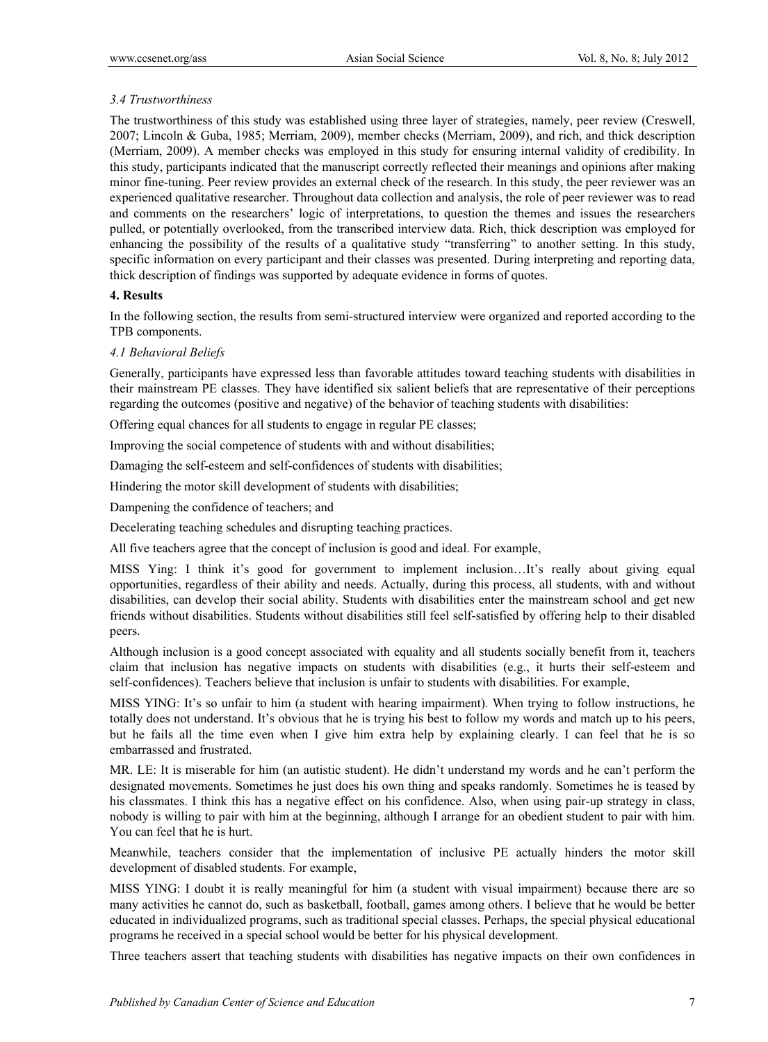# *3.4 Trustworthiness*

The trustworthiness of this study was established using three layer of strategies, namely, peer review (Creswell, 2007; Lincoln & Guba, 1985; Merriam, 2009), member checks (Merriam, 2009), and rich, and thick description (Merriam, 2009). A member checks was employed in this study for ensuring internal validity of credibility. In this study, participants indicated that the manuscript correctly reflected their meanings and opinions after making minor fine-tuning. Peer review provides an external check of the research. In this study, the peer reviewer was an experienced qualitative researcher. Throughout data collection and analysis, the role of peer reviewer was to read and comments on the researchers' logic of interpretations, to question the themes and issues the researchers pulled, or potentially overlooked, from the transcribed interview data. Rich, thick description was employed for enhancing the possibility of the results of a qualitative study "transferring" to another setting. In this study, specific information on every participant and their classes was presented. During interpreting and reporting data, thick description of findings was supported by adequate evidence in forms of quotes.

# **4. Results**

In the following section, the results from semi-structured interview were organized and reported according to the TPB components.

# *4.1 Behavioral Beliefs*

Generally, participants have expressed less than favorable attitudes toward teaching students with disabilities in their mainstream PE classes. They have identified six salient beliefs that are representative of their perceptions regarding the outcomes (positive and negative) of the behavior of teaching students with disabilities:

Offering equal chances for all students to engage in regular PE classes;

Improving the social competence of students with and without disabilities;

Damaging the self-esteem and self-confidences of students with disabilities;

Hindering the motor skill development of students with disabilities;

Dampening the confidence of teachers; and

Decelerating teaching schedules and disrupting teaching practices.

All five teachers agree that the concept of inclusion is good and ideal. For example,

MISS Ying: I think it's good for government to implement inclusion…It's really about giving equal opportunities, regardless of their ability and needs. Actually, during this process, all students, with and without disabilities, can develop their social ability. Students with disabilities enter the mainstream school and get new friends without disabilities. Students without disabilities still feel self-satisfied by offering help to their disabled peers.

Although inclusion is a good concept associated with equality and all students socially benefit from it, teachers claim that inclusion has negative impacts on students with disabilities (e.g., it hurts their self-esteem and self-confidences). Teachers believe that inclusion is unfair to students with disabilities. For example,

MISS YING: It's so unfair to him (a student with hearing impairment). When trying to follow instructions, he totally does not understand. It's obvious that he is trying his best to follow my words and match up to his peers, but he fails all the time even when I give him extra help by explaining clearly. I can feel that he is so embarrassed and frustrated.

MR. LE: It is miserable for him (an autistic student). He didn't understand my words and he can't perform the designated movements. Sometimes he just does his own thing and speaks randomly. Sometimes he is teased by his classmates. I think this has a negative effect on his confidence. Also, when using pair-up strategy in class, nobody is willing to pair with him at the beginning, although I arrange for an obedient student to pair with him. You can feel that he is hurt.

Meanwhile, teachers consider that the implementation of inclusive PE actually hinders the motor skill development of disabled students. For example,

MISS YING: I doubt it is really meaningful for him (a student with visual impairment) because there are so many activities he cannot do, such as basketball, football, games among others. I believe that he would be better educated in individualized programs, such as traditional special classes. Perhaps, the special physical educational programs he received in a special school would be better for his physical development.

Three teachers assert that teaching students with disabilities has negative impacts on their own confidences in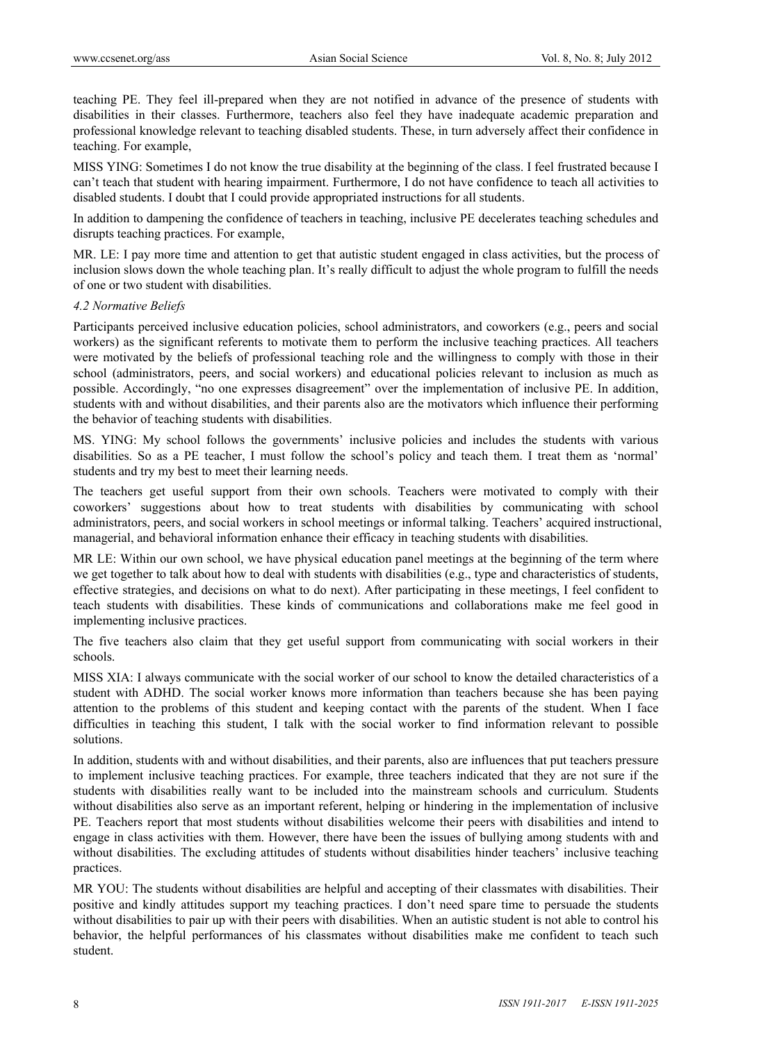teaching PE. They feel ill-prepared when they are not notified in advance of the presence of students with disabilities in their classes. Furthermore, teachers also feel they have inadequate academic preparation and professional knowledge relevant to teaching disabled students. These, in turn adversely affect their confidence in teaching. For example,

MISS YING: Sometimes I do not know the true disability at the beginning of the class. I feel frustrated because I can't teach that student with hearing impairment. Furthermore, I do not have confidence to teach all activities to disabled students. I doubt that I could provide appropriated instructions for all students.

In addition to dampening the confidence of teachers in teaching, inclusive PE decelerates teaching schedules and disrupts teaching practices. For example,

MR. LE: I pay more time and attention to get that autistic student engaged in class activities, but the process of inclusion slows down the whole teaching plan. It's really difficult to adjust the whole program to fulfill the needs of one or two student with disabilities.

# *4.2 Normative Beliefs*

Participants perceived inclusive education policies, school administrators, and coworkers (e.g., peers and social workers) as the significant referents to motivate them to perform the inclusive teaching practices. All teachers were motivated by the beliefs of professional teaching role and the willingness to comply with those in their school (administrators, peers, and social workers) and educational policies relevant to inclusion as much as possible. Accordingly, "no one expresses disagreement" over the implementation of inclusive PE. In addition, students with and without disabilities, and their parents also are the motivators which influence their performing the behavior of teaching students with disabilities.

MS. YING: My school follows the governments' inclusive policies and includes the students with various disabilities. So as a PE teacher, I must follow the school's policy and teach them. I treat them as 'normal' students and try my best to meet their learning needs.

The teachers get useful support from their own schools. Teachers were motivated to comply with their coworkers' suggestions about how to treat students with disabilities by communicating with school administrators, peers, and social workers in school meetings or informal talking. Teachers' acquired instructional, managerial, and behavioral information enhance their efficacy in teaching students with disabilities.

MR LE: Within our own school, we have physical education panel meetings at the beginning of the term where we get together to talk about how to deal with students with disabilities (e.g., type and characteristics of students, effective strategies, and decisions on what to do next). After participating in these meetings, I feel confident to teach students with disabilities. These kinds of communications and collaborations make me feel good in implementing inclusive practices.

The five teachers also claim that they get useful support from communicating with social workers in their schools.

MISS XIA: I always communicate with the social worker of our school to know the detailed characteristics of a student with ADHD. The social worker knows more information than teachers because she has been paying attention to the problems of this student and keeping contact with the parents of the student. When I face difficulties in teaching this student, I talk with the social worker to find information relevant to possible solutions.

In addition, students with and without disabilities, and their parents, also are influences that put teachers pressure to implement inclusive teaching practices. For example, three teachers indicated that they are not sure if the students with disabilities really want to be included into the mainstream schools and curriculum. Students without disabilities also serve as an important referent, helping or hindering in the implementation of inclusive PE. Teachers report that most students without disabilities welcome their peers with disabilities and intend to engage in class activities with them. However, there have been the issues of bullying among students with and without disabilities. The excluding attitudes of students without disabilities hinder teachers' inclusive teaching practices.

MR YOU: The students without disabilities are helpful and accepting of their classmates with disabilities. Their positive and kindly attitudes support my teaching practices. I don't need spare time to persuade the students without disabilities to pair up with their peers with disabilities. When an autistic student is not able to control his behavior, the helpful performances of his classmates without disabilities make me confident to teach such student.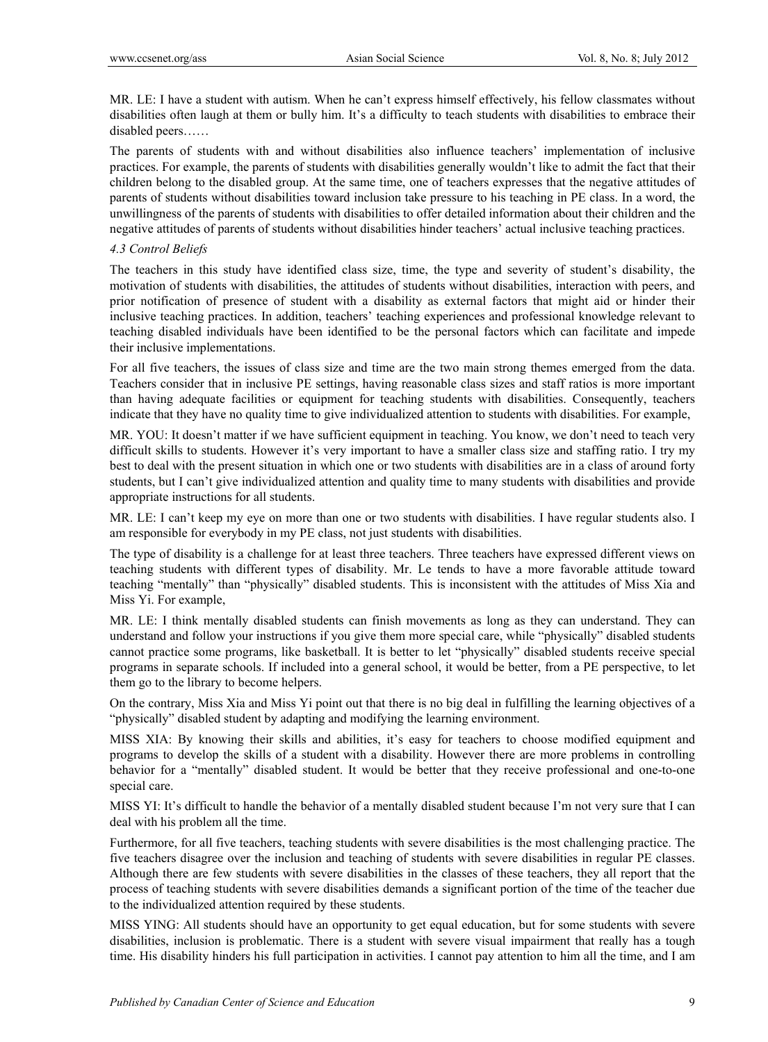MR. LE: I have a student with autism. When he can't express himself effectively, his fellow classmates without disabilities often laugh at them or bully him. It's a difficulty to teach students with disabilities to embrace their disabled peers……

The parents of students with and without disabilities also influence teachers' implementation of inclusive practices. For example, the parents of students with disabilities generally wouldn't like to admit the fact that their children belong to the disabled group. At the same time, one of teachers expresses that the negative attitudes of parents of students without disabilities toward inclusion take pressure to his teaching in PE class. In a word, the unwillingness of the parents of students with disabilities to offer detailed information about their children and the negative attitudes of parents of students without disabilities hinder teachers' actual inclusive teaching practices.

## *4.3 Control Beliefs*

The teachers in this study have identified class size, time, the type and severity of student's disability, the motivation of students with disabilities, the attitudes of students without disabilities, interaction with peers, and prior notification of presence of student with a disability as external factors that might aid or hinder their inclusive teaching practices. In addition, teachers' teaching experiences and professional knowledge relevant to teaching disabled individuals have been identified to be the personal factors which can facilitate and impede their inclusive implementations.

For all five teachers, the issues of class size and time are the two main strong themes emerged from the data. Teachers consider that in inclusive PE settings, having reasonable class sizes and staff ratios is more important than having adequate facilities or equipment for teaching students with disabilities. Consequently, teachers indicate that they have no quality time to give individualized attention to students with disabilities. For example,

MR. YOU: It doesn't matter if we have sufficient equipment in teaching. You know, we don't need to teach very difficult skills to students. However it's very important to have a smaller class size and staffing ratio. I try my best to deal with the present situation in which one or two students with disabilities are in a class of around forty students, but I can't give individualized attention and quality time to many students with disabilities and provide appropriate instructions for all students.

MR. LE: I can't keep my eye on more than one or two students with disabilities. I have regular students also. I am responsible for everybody in my PE class, not just students with disabilities.

The type of disability is a challenge for at least three teachers. Three teachers have expressed different views on teaching students with different types of disability. Mr. Le tends to have a more favorable attitude toward teaching "mentally" than "physically" disabled students. This is inconsistent with the attitudes of Miss Xia and Miss Yi. For example,

MR. LE: I think mentally disabled students can finish movements as long as they can understand. They can understand and follow your instructions if you give them more special care, while "physically" disabled students cannot practice some programs, like basketball. It is better to let "physically" disabled students receive special programs in separate schools. If included into a general school, it would be better, from a PE perspective, to let them go to the library to become helpers.

On the contrary, Miss Xia and Miss Yi point out that there is no big deal in fulfilling the learning objectives of a "physically" disabled student by adapting and modifying the learning environment.

MISS XIA: By knowing their skills and abilities, it's easy for teachers to choose modified equipment and programs to develop the skills of a student with a disability. However there are more problems in controlling behavior for a "mentally" disabled student. It would be better that they receive professional and one-to-one special care.

MISS YI: It's difficult to handle the behavior of a mentally disabled student because I'm not very sure that I can deal with his problem all the time.

Furthermore, for all five teachers, teaching students with severe disabilities is the most challenging practice. The five teachers disagree over the inclusion and teaching of students with severe disabilities in regular PE classes. Although there are few students with severe disabilities in the classes of these teachers, they all report that the process of teaching students with severe disabilities demands a significant portion of the time of the teacher due to the individualized attention required by these students.

MISS YING: All students should have an opportunity to get equal education, but for some students with severe disabilities, inclusion is problematic. There is a student with severe visual impairment that really has a tough time. His disability hinders his full participation in activities. I cannot pay attention to him all the time, and I am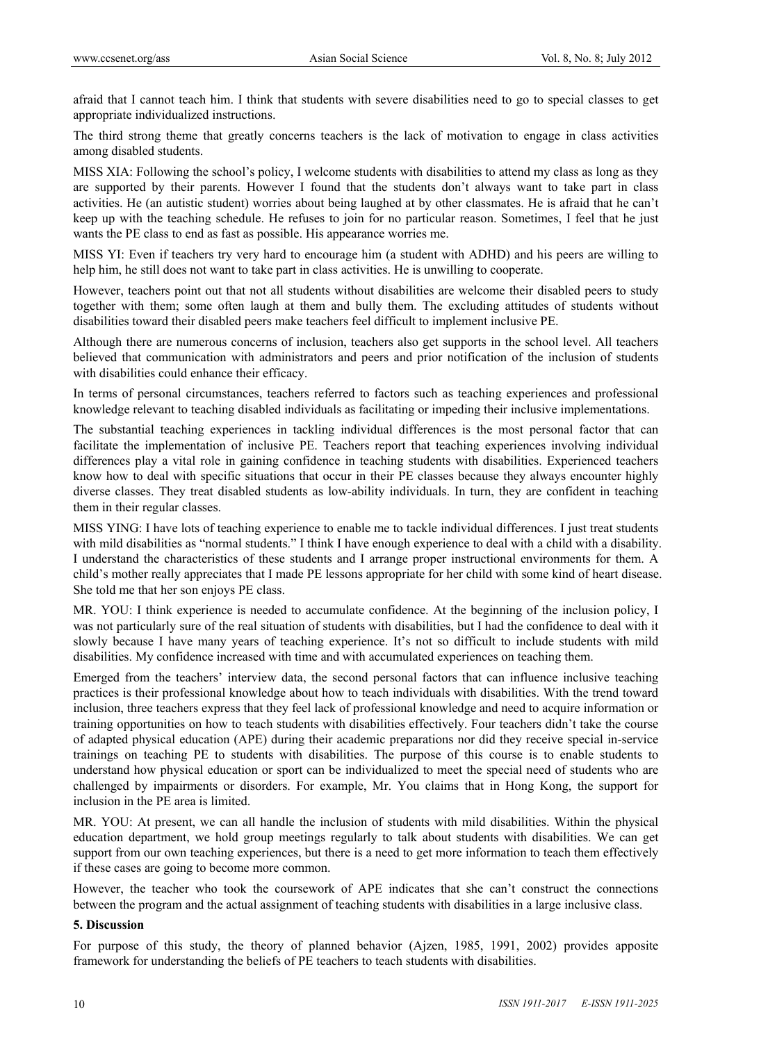afraid that I cannot teach him. I think that students with severe disabilities need to go to special classes to get appropriate individualized instructions.

The third strong theme that greatly concerns teachers is the lack of motivation to engage in class activities among disabled students.

MISS XIA: Following the school's policy, I welcome students with disabilities to attend my class as long as they are supported by their parents. However I found that the students don't always want to take part in class activities. He (an autistic student) worries about being laughed at by other classmates. He is afraid that he can't keep up with the teaching schedule. He refuses to join for no particular reason. Sometimes, I feel that he just wants the PE class to end as fast as possible. His appearance worries me.

MISS YI: Even if teachers try very hard to encourage him (a student with ADHD) and his peers are willing to help him, he still does not want to take part in class activities. He is unwilling to cooperate.

However, teachers point out that not all students without disabilities are welcome their disabled peers to study together with them; some often laugh at them and bully them. The excluding attitudes of students without disabilities toward their disabled peers make teachers feel difficult to implement inclusive PE.

Although there are numerous concerns of inclusion, teachers also get supports in the school level. All teachers believed that communication with administrators and peers and prior notification of the inclusion of students with disabilities could enhance their efficacy.

In terms of personal circumstances, teachers referred to factors such as teaching experiences and professional knowledge relevant to teaching disabled individuals as facilitating or impeding their inclusive implementations.

The substantial teaching experiences in tackling individual differences is the most personal factor that can facilitate the implementation of inclusive PE. Teachers report that teaching experiences involving individual differences play a vital role in gaining confidence in teaching students with disabilities. Experienced teachers know how to deal with specific situations that occur in their PE classes because they always encounter highly diverse classes. They treat disabled students as low-ability individuals. In turn, they are confident in teaching them in their regular classes.

MISS YING: I have lots of teaching experience to enable me to tackle individual differences. I just treat students with mild disabilities as "normal students." I think I have enough experience to deal with a child with a disability. I understand the characteristics of these students and I arrange proper instructional environments for them. A child's mother really appreciates that I made PE lessons appropriate for her child with some kind of heart disease. She told me that her son enjoys PE class.

MR. YOU: I think experience is needed to accumulate confidence. At the beginning of the inclusion policy, I was not particularly sure of the real situation of students with disabilities, but I had the confidence to deal with it slowly because I have many years of teaching experience. It's not so difficult to include students with mild disabilities. My confidence increased with time and with accumulated experiences on teaching them.

Emerged from the teachers' interview data, the second personal factors that can influence inclusive teaching practices is their professional knowledge about how to teach individuals with disabilities. With the trend toward inclusion, three teachers express that they feel lack of professional knowledge and need to acquire information or training opportunities on how to teach students with disabilities effectively. Four teachers didn't take the course of adapted physical education (APE) during their academic preparations nor did they receive special in-service trainings on teaching PE to students with disabilities. The purpose of this course is to enable students to understand how physical education or sport can be individualized to meet the special need of students who are challenged by impairments or disorders. For example, Mr. You claims that in Hong Kong, the support for inclusion in the PE area is limited.

MR. YOU: At present, we can all handle the inclusion of students with mild disabilities. Within the physical education department, we hold group meetings regularly to talk about students with disabilities. We can get support from our own teaching experiences, but there is a need to get more information to teach them effectively if these cases are going to become more common.

However, the teacher who took the coursework of APE indicates that she can't construct the connections between the program and the actual assignment of teaching students with disabilities in a large inclusive class.

#### **5. Discussion**

For purpose of this study, the theory of planned behavior (Ajzen, 1985, 1991, 2002) provides apposite framework for understanding the beliefs of PE teachers to teach students with disabilities.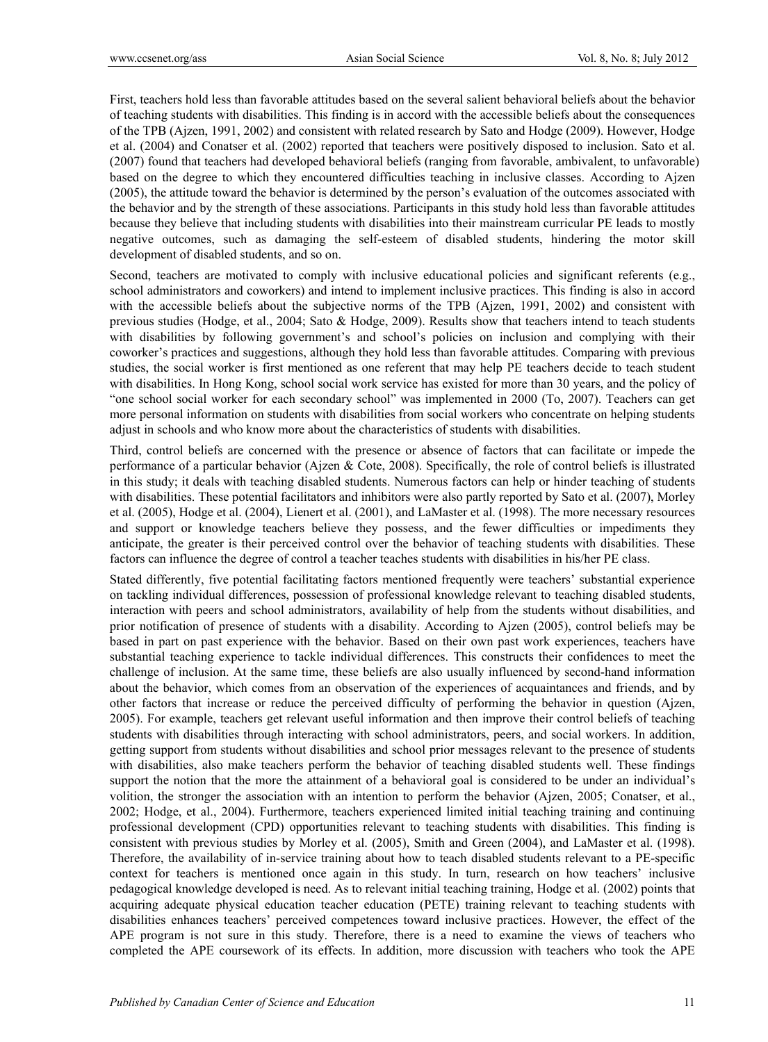First, teachers hold less than favorable attitudes based on the several salient behavioral beliefs about the behavior of teaching students with disabilities. This finding is in accord with the accessible beliefs about the consequences of the TPB (Ajzen, 1991, 2002) and consistent with related research by Sato and Hodge (2009). However, Hodge et al. (2004) and Conatser et al. (2002) reported that teachers were positively disposed to inclusion. Sato et al. (2007) found that teachers had developed behavioral beliefs (ranging from favorable, ambivalent, to unfavorable) based on the degree to which they encountered difficulties teaching in inclusive classes. According to Ajzen (2005), the attitude toward the behavior is determined by the person's evaluation of the outcomes associated with the behavior and by the strength of these associations. Participants in this study hold less than favorable attitudes because they believe that including students with disabilities into their mainstream curricular PE leads to mostly negative outcomes, such as damaging the self-esteem of disabled students, hindering the motor skill development of disabled students, and so on.

Second, teachers are motivated to comply with inclusive educational policies and significant referents (e.g., school administrators and coworkers) and intend to implement inclusive practices. This finding is also in accord with the accessible beliefs about the subjective norms of the TPB (Ajzen, 1991, 2002) and consistent with previous studies (Hodge, et al., 2004; Sato & Hodge, 2009). Results show that teachers intend to teach students with disabilities by following government's and school's policies on inclusion and complying with their coworker's practices and suggestions, although they hold less than favorable attitudes. Comparing with previous studies, the social worker is first mentioned as one referent that may help PE teachers decide to teach student with disabilities. In Hong Kong, school social work service has existed for more than 30 years, and the policy of "one school social worker for each secondary school" was implemented in 2000 (To, 2007). Teachers can get more personal information on students with disabilities from social workers who concentrate on helping students adjust in schools and who know more about the characteristics of students with disabilities.

Third, control beliefs are concerned with the presence or absence of factors that can facilitate or impede the performance of a particular behavior (Ajzen & Cote, 2008). Specifically, the role of control beliefs is illustrated in this study; it deals with teaching disabled students. Numerous factors can help or hinder teaching of students with disabilities. These potential facilitators and inhibitors were also partly reported by Sato et al. (2007), Morley et al. (2005), Hodge et al. (2004), Lienert et al. (2001), and LaMaster et al. (1998). The more necessary resources and support or knowledge teachers believe they possess, and the fewer difficulties or impediments they anticipate, the greater is their perceived control over the behavior of teaching students with disabilities. These factors can influence the degree of control a teacher teaches students with disabilities in his/her PE class.

Stated differently, five potential facilitating factors mentioned frequently were teachers' substantial experience on tackling individual differences, possession of professional knowledge relevant to teaching disabled students, interaction with peers and school administrators, availability of help from the students without disabilities, and prior notification of presence of students with a disability. According to Ajzen (2005), control beliefs may be based in part on past experience with the behavior. Based on their own past work experiences, teachers have substantial teaching experience to tackle individual differences. This constructs their confidences to meet the challenge of inclusion. At the same time, these beliefs are also usually influenced by second-hand information about the behavior, which comes from an observation of the experiences of acquaintances and friends, and by other factors that increase or reduce the perceived difficulty of performing the behavior in question (Ajzen, 2005). For example, teachers get relevant useful information and then improve their control beliefs of teaching students with disabilities through interacting with school administrators, peers, and social workers. In addition, getting support from students without disabilities and school prior messages relevant to the presence of students with disabilities, also make teachers perform the behavior of teaching disabled students well. These findings support the notion that the more the attainment of a behavioral goal is considered to be under an individual's volition, the stronger the association with an intention to perform the behavior (Ajzen, 2005; Conatser, et al., 2002; Hodge, et al., 2004). Furthermore, teachers experienced limited initial teaching training and continuing professional development (CPD) opportunities relevant to teaching students with disabilities. This finding is consistent with previous studies by Morley et al. (2005), Smith and Green (2004), and LaMaster et al. (1998). Therefore, the availability of in-service training about how to teach disabled students relevant to a PE-specific context for teachers is mentioned once again in this study. In turn, research on how teachers' inclusive pedagogical knowledge developed is need. As to relevant initial teaching training, Hodge et al. (2002) points that acquiring adequate physical education teacher education (PETE) training relevant to teaching students with disabilities enhances teachers' perceived competences toward inclusive practices. However, the effect of the APE program is not sure in this study. Therefore, there is a need to examine the views of teachers who completed the APE coursework of its effects. In addition, more discussion with teachers who took the APE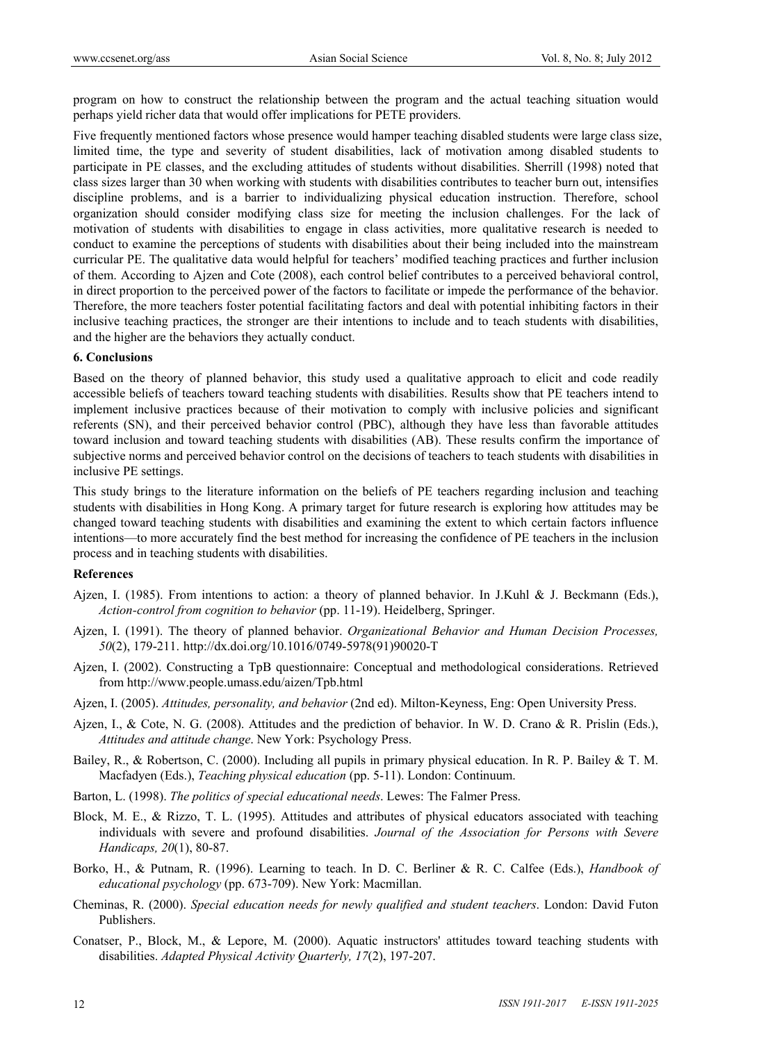program on how to construct the relationship between the program and the actual teaching situation would perhaps yield richer data that would offer implications for PETE providers.

Five frequently mentioned factors whose presence would hamper teaching disabled students were large class size, limited time, the type and severity of student disabilities, lack of motivation among disabled students to participate in PE classes, and the excluding attitudes of students without disabilities. Sherrill (1998) noted that class sizes larger than 30 when working with students with disabilities contributes to teacher burn out, intensifies discipline problems, and is a barrier to individualizing physical education instruction. Therefore, school organization should consider modifying class size for meeting the inclusion challenges. For the lack of motivation of students with disabilities to engage in class activities, more qualitative research is needed to conduct to examine the perceptions of students with disabilities about their being included into the mainstream curricular PE. The qualitative data would helpful for teachers' modified teaching practices and further inclusion of them. According to Ajzen and Cote (2008), each control belief contributes to a perceived behavioral control, in direct proportion to the perceived power of the factors to facilitate or impede the performance of the behavior. Therefore, the more teachers foster potential facilitating factors and deal with potential inhibiting factors in their inclusive teaching practices, the stronger are their intentions to include and to teach students with disabilities, and the higher are the behaviors they actually conduct.

### **6. Conclusions**

Based on the theory of planned behavior, this study used a qualitative approach to elicit and code readily accessible beliefs of teachers toward teaching students with disabilities. Results show that PE teachers intend to implement inclusive practices because of their motivation to comply with inclusive policies and significant referents (SN), and their perceived behavior control (PBC), although they have less than favorable attitudes toward inclusion and toward teaching students with disabilities (AB). These results confirm the importance of subjective norms and perceived behavior control on the decisions of teachers to teach students with disabilities in inclusive PE settings.

This study brings to the literature information on the beliefs of PE teachers regarding inclusion and teaching students with disabilities in Hong Kong. A primary target for future research is exploring how attitudes may be changed toward teaching students with disabilities and examining the extent to which certain factors influence intentions—to more accurately find the best method for increasing the confidence of PE teachers in the inclusion process and in teaching students with disabilities.

### **References**

- Ajzen, I. (1985). From intentions to action: a theory of planned behavior. In J.Kuhl & J. Beckmann (Eds.), *Action-control from cognition to behavior* (pp. 11-19). Heidelberg, Springer.
- Ajzen, I. (1991). The theory of planned behavior. *Organizational Behavior and Human Decision Processes, 50*(2), 179-211. http://dx.doi.org/10.1016/0749-5978(91)90020-T
- Ajzen, I. (2002). Constructing a TpB questionnaire: Conceptual and methodological considerations. Retrieved from http://www.people.umass.edu/aizen/Tpb.html
- Ajzen, I. (2005). *Attitudes, personality, and behavior* (2nd ed). Milton-Keyness, Eng: Open University Press.
- Ajzen, I., & Cote, N. G. (2008). Attitudes and the prediction of behavior. In W. D. Crano & R. Prislin (Eds.), *Attitudes and attitude change*. New York: Psychology Press.
- Bailey, R., & Robertson, C. (2000). Including all pupils in primary physical education. In R. P. Bailey & T. M. Macfadyen (Eds.), *Teaching physical education* (pp. 5-11). London: Continuum.
- Barton, L. (1998). *The politics of special educational needs*. Lewes: The Falmer Press.
- Block, M. E., & Rizzo, T. L. (1995). Attitudes and attributes of physical educators associated with teaching individuals with severe and profound disabilities. *Journal of the Association for Persons with Severe Handicaps, 20*(1), 80-87.
- Borko, H., & Putnam, R. (1996). Learning to teach. In D. C. Berliner & R. C. Calfee (Eds.), *Handbook of educational psychology* (pp. 673-709). New York: Macmillan.
- Cheminas, R. (2000). *Special education needs for newly qualified and student teachers*. London: David Futon Publishers.
- Conatser, P., Block, M., & Lepore, M. (2000). Aquatic instructors' attitudes toward teaching students with disabilities. *Adapted Physical Activity Quarterly, 17*(2), 197-207.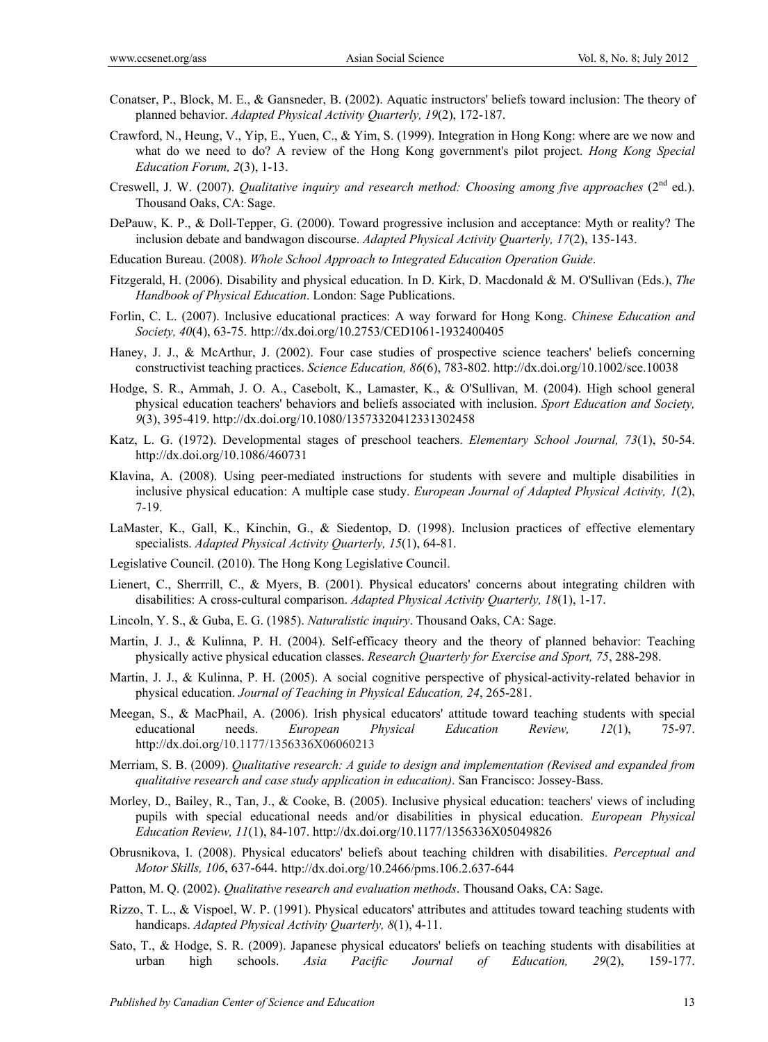- Conatser, P., Block, M. E., & Gansneder, B. (2002). Aquatic instructors' beliefs toward inclusion: The theory of planned behavior. *Adapted Physical Activity Quarterly, 19*(2), 172-187.
- Crawford, N., Heung, V., Yip, E., Yuen, C., & Yim, S. (1999). Integration in Hong Kong: where are we now and what do we need to do? A review of the Hong Kong government's pilot project. *Hong Kong Special Education Forum, 2*(3), 1-13.
- Creswell, J. W. (2007). *Qualitative inquiry and research method: Choosing among five approaches* (2<sup>nd</sup> ed.). Thousand Oaks, CA: Sage.
- DePauw, K. P., & Doll-Tepper, G. (2000). Toward progressive inclusion and acceptance: Myth or reality? The inclusion debate and bandwagon discourse. *Adapted Physical Activity Quarterly, 17*(2), 135-143.
- Education Bureau. (2008). *Whole School Approach to Integrated Education Operation Guide*.
- Fitzgerald, H. (2006). Disability and physical education. In D. Kirk, D. Macdonald & M. O'Sullivan (Eds.), *The Handbook of Physical Education*. London: Sage Publications.
- Forlin, C. L. (2007). Inclusive educational practices: A way forward for Hong Kong. *Chinese Education and Society, 40*(4), 63-75. http://dx.doi.org/10.2753/CED1061-1932400405
- Haney, J. J., & McArthur, J. (2002). Four case studies of prospective science teachers' beliefs concerning constructivist teaching practices. *Science Education, 86*(6), 783-802. http://dx.doi.org/10.1002/sce.10038
- Hodge, S. R., Ammah, J. O. A., Casebolt, K., Lamaster, K., & O'Sullivan, M. (2004). High school general physical education teachers' behaviors and beliefs associated with inclusion. *Sport Education and Society, 9*(3), 395-419. http://dx.doi.org/10.1080/13573320412331302458
- Katz, L. G. (1972). Developmental stages of preschool teachers. *Elementary School Journal, 73*(1), 50-54. http://dx.doi.org/10.1086/460731
- Klavina, A. (2008). Using peer-mediated instructions for students with severe and multiple disabilities in inclusive physical education: A multiple case study. *European Journal of Adapted Physical Activity, 1*(2), 7-19.
- LaMaster, K., Gall, K., Kinchin, G., & Siedentop, D. (1998). Inclusion practices of effective elementary specialists. *Adapted Physical Activity Quarterly, 15*(1), 64-81.
- Legislative Council. (2010). The Hong Kong Legislative Council.
- Lienert, C., Sherrrill, C., & Myers, B. (2001). Physical educators' concerns about integrating children with disabilities: A cross-cultural comparison. *Adapted Physical Activity Quarterly, 18*(1), 1-17.
- Lincoln, Y. S., & Guba, E. G. (1985). *Naturalistic inquiry*. Thousand Oaks, CA: Sage.
- Martin, J. J., & Kulinna, P. H. (2004). Self-efficacy theory and the theory of planned behavior: Teaching physically active physical education classes. *Research Quarterly for Exercise and Sport, 75*, 288-298.
- Martin, J. J., & Kulinna, P. H. (2005). A social cognitive perspective of physical-activity-related behavior in physical education. *Journal of Teaching in Physical Education, 24*, 265-281.
- Meegan, S., & MacPhail, A. (2006). Irish physical educators' attitude toward teaching students with special educational needs. *European Physical Education Review, 12*(1), 75-97. http://dx.doi.org/10.1177/1356336X06060213
- Merriam, S. B. (2009). *Qualitative research: A guide to design and implementation (Revised and expanded from qualitative research and case study application in education)*. San Francisco: Jossey-Bass.
- Morley, D., Bailey, R., Tan, J., & Cooke, B. (2005). Inclusive physical education: teachers' views of including pupils with special educational needs and/or disabilities in physical education. *European Physical Education Review, 11*(1), 84-107. http://dx.doi.org/10.1177/1356336X05049826
- Obrusnikova, I. (2008). Physical educators' beliefs about teaching children with disabilities. *Perceptual and Motor Skills, 106*, 637-644. http://dx.doi.org/10.2466/pms.106.2.637-644
- Patton, M. Q. (2002). *Qualitative research and evaluation methods*. Thousand Oaks, CA: Sage.
- Rizzo, T. L., & Vispoel, W. P. (1991). Physical educators' attributes and attitudes toward teaching students with handicaps. *Adapted Physical Activity Quarterly, 8*(1), 4-11.
- Sato, T., & Hodge, S. R. (2009). Japanese physical educators' beliefs on teaching students with disabilities at urban high schools. *Asia Pacific Journal of Education, 29*(2), 159-177.